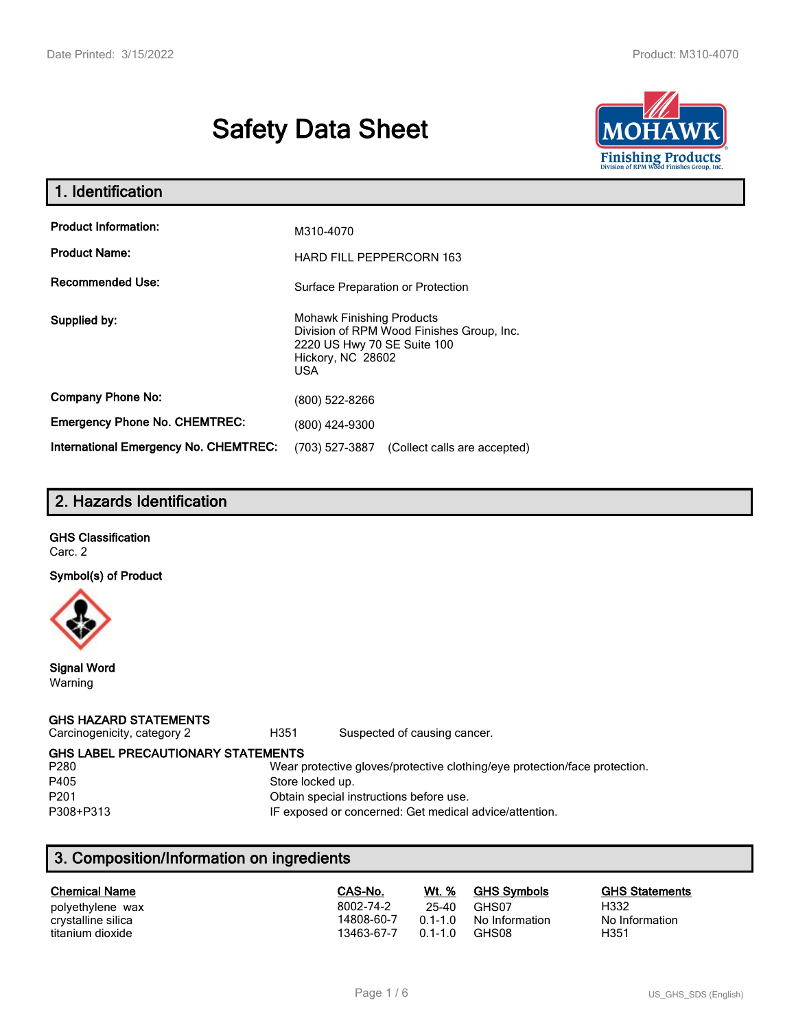# **Safety Data Sheet**



| 1. Identification                                   |                                                                                                                                                 |  |  |  |
|-----------------------------------------------------|-------------------------------------------------------------------------------------------------------------------------------------------------|--|--|--|
| <b>Product Information:</b><br><b>Product Name:</b> | M310-4070                                                                                                                                       |  |  |  |
| Recommended Use:                                    | <b>HARD FILL PEPPERCORN 163</b><br>Surface Preparation or Protection                                                                            |  |  |  |
| Supplied by:                                        | <b>Mohawk Finishing Products</b><br>Division of RPM Wood Finishes Group, Inc.<br>2220 US Hwy 70 SE Suite 100<br>Hickory, NC 28602<br><b>USA</b> |  |  |  |
| <b>Company Phone No:</b>                            | (800) 522-8266                                                                                                                                  |  |  |  |
| <b>Emergency Phone No. CHEMTREC:</b>                | (800) 424-9300                                                                                                                                  |  |  |  |
| <b>International Emergency No. CHEMTREC:</b>        | (703) 527-3887<br>(Collect calls are accepted)                                                                                                  |  |  |  |

# **2. Hazards Identification**

# **GHS Classification**

Carc. 2

**Symbol(s) of Product**



**Signal Word** Warning

#### **GHS HAZARD STATEMENTS**

Carcinogenicity, category 2 **H351** Suspected of causing cancer.

**GHS LABEL PRECAUTIONARY STATEMENTS**

| P280             |
|------------------|
| P405             |
|                  |
| P <sub>201</sub> |
| P308+P313        |
|                  |

#### Wear protective gloves/protective clothing/eye protection/face protection. Store locked up.

Obtain special instructions before use.

3 **Parameters** IF exposed or concerned: Get medical advice/attention.

# **3. Composition/Information on ingredients**

| <b>Chemical Name</b> | CAS-No.    | Wt. %     | <b>GHS Symbols</b> | <b>GHS Statements</b> |
|----------------------|------------|-----------|--------------------|-----------------------|
| polyethylene wax     | 8002-74-2  | 25-40     | GHS07              | H332                  |
| crystalline silica   | 14808-60-7 | $01 - 10$ | No Information     | No Information        |
| titanium dioxide     | 13463-67-7 | $01 - 10$ | GHS08              | H351                  |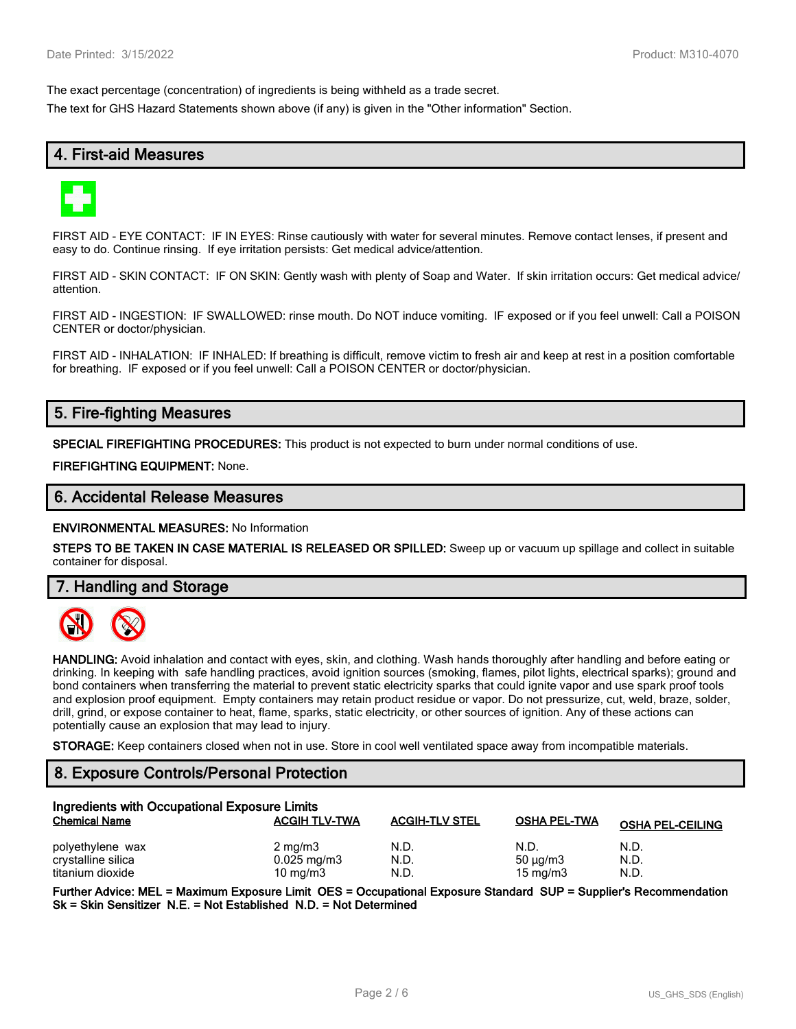The exact percentage (concentration) of ingredients is being withheld as a trade secret.

The text for GHS Hazard Statements shown above (if any) is given in the "Other information" Section.

# **4. First-aid Measures**



FIRST AID - EYE CONTACT: IF IN EYES: Rinse cautiously with water for several minutes. Remove contact lenses, if present and easy to do. Continue rinsing. If eye irritation persists: Get medical advice/attention.

FIRST AID - SKIN CONTACT: IF ON SKIN: Gently wash with plenty of Soap and Water. If skin irritation occurs: Get medical advice/ attention.

FIRST AID - INGESTION: IF SWALLOWED: rinse mouth. Do NOT induce vomiting. IF exposed or if you feel unwell: Call a POISON CENTER or doctor/physician.

FIRST AID - INHALATION: IF INHALED: If breathing is difficult, remove victim to fresh air and keep at rest in a position comfortable for breathing. IF exposed or if you feel unwell: Call a POISON CENTER or doctor/physician.

# **5. Fire-fighting Measures**

**SPECIAL FIREFIGHTING PROCEDURES:** This product is not expected to burn under normal conditions of use.

**FIREFIGHTING EQUIPMENT:** None.

#### **6. Accidental Release Measures**

**ENVIRONMENTAL MEASURES:** No Information

**STEPS TO BE TAKEN IN CASE MATERIAL IS RELEASED OR SPILLED:** Sweep up or vacuum up spillage and collect in suitable container for disposal.

**7. Handling and Storage**



**HANDLING:** Avoid inhalation and contact with eyes, skin, and clothing. Wash hands thoroughly after handling and before eating or drinking. In keeping with safe handling practices, avoid ignition sources (smoking, flames, pilot lights, electrical sparks); ground and bond containers when transferring the material to prevent static electricity sparks that could ignite vapor and use spark proof tools and explosion proof equipment. Empty containers may retain product residue or vapor. Do not pressurize, cut, weld, braze, solder, drill, grind, or expose container to heat, flame, sparks, static electricity, or other sources of ignition. Any of these actions can potentially cause an explosion that may lead to injury.

**STORAGE:** Keep containers closed when not in use. Store in cool well ventilated space away from incompatible materials.

### **8. Exposure Controls/Personal Protection**

| Ingredients with Occupational Exposure Limits |                        |                       |                     |                         |  |
|-----------------------------------------------|------------------------|-----------------------|---------------------|-------------------------|--|
| <b>Chemical Name</b>                          | <b>ACGIH TLV-TWA</b>   | <b>ACGIH-TLV STEL</b> | <b>OSHA PEL-TWA</b> | <b>OSHA PEL-CEILING</b> |  |
| polyethylene wax                              | $2 \text{ mg/m}$ 3     | N.D.                  | N.D.                | N.D.                    |  |
| crystalline silica                            | $0.025 \text{ mg/m}$ 3 | N.D.                  | 50 $\mu$ g/m3       | N.D.                    |  |
| titanium dioxide                              | $10 \text{ mg/m}$      | N.D.                  | $15 \text{ mg/m}$   | N.D.                    |  |

**Further Advice: MEL = Maximum Exposure Limit OES = Occupational Exposure Standard SUP = Supplier's Recommendation Sk = Skin Sensitizer N.E. = Not Established N.D. = Not Determined**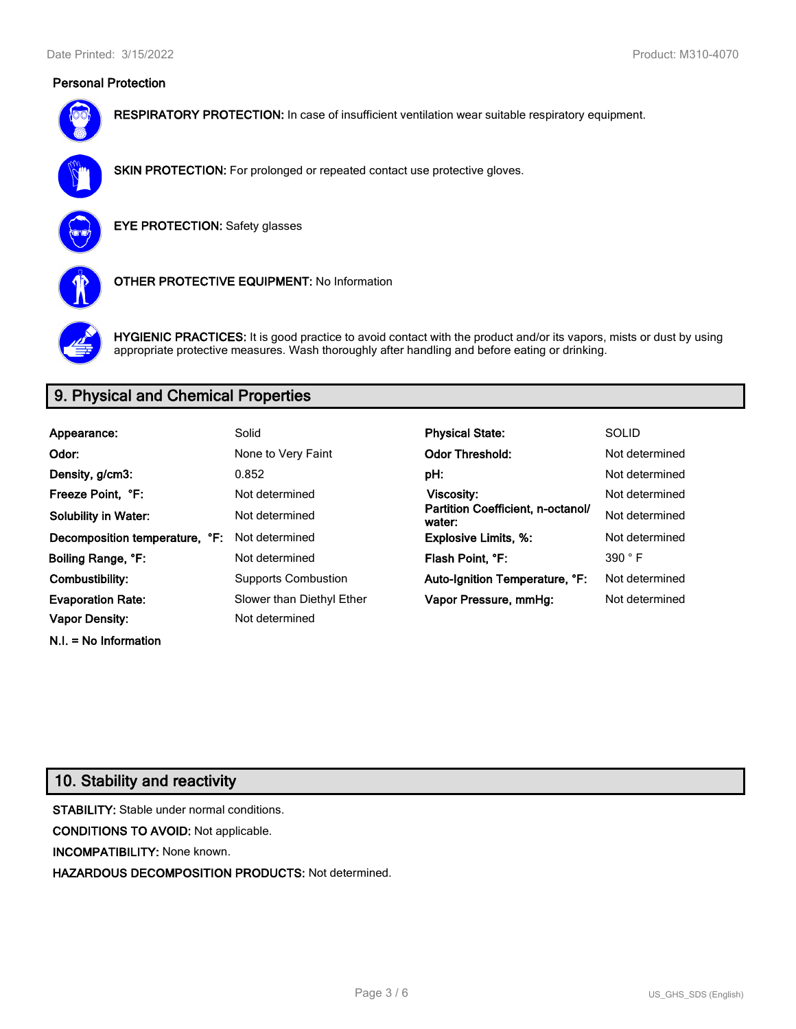### **Personal Protection**



**RESPIRATORY PROTECTION:** In case of insufficient ventilation wear suitable respiratory equipment.



**SKIN PROTECTION:** For prolonged or repeated contact use protective gloves.

**EYE PROTECTION:** Safety glasses



**OTHER PROTECTIVE EQUIPMENT:** No Information



**HYGIENIC PRACTICES:** It is good practice to avoid contact with the product and/or its vapors, mists or dust by using appropriate protective measures. Wash thoroughly after handling and before eating or drinking.

# **9. Physical and Chemical Properties**

| Appearance:                    | Solid                      | <b>Physical State:</b>                      | <b>SOLID</b>   |
|--------------------------------|----------------------------|---------------------------------------------|----------------|
| Odor:                          | None to Very Faint         | <b>Odor Threshold:</b>                      | Not determined |
| Density, g/cm3:                | 0.852                      | pH:                                         | Not determined |
| Freeze Point. °F:              | Not determined             | <b>Viscosity:</b>                           | Not determined |
| <b>Solubility in Water:</b>    | Not determined             | Partition Coefficient, n-octanol/<br>water: | Not determined |
| Decomposition temperature, °F: | Not determined             | <b>Explosive Limits, %:</b>                 | Not determined |
| Boiling Range, °F:             | Not determined             | Flash Point, °F:                            | 390 °F         |
| Combustibility:                | <b>Supports Combustion</b> | Auto-Ignition Temperature, °F:              | Not determined |
| <b>Evaporation Rate:</b>       | Slower than Diethyl Ether  | Vapor Pressure, mmHg:                       | Not determined |
| <b>Vapor Density:</b>          | Not determined             |                                             |                |

# **10. Stability and reactivity**

**N.I. = No Information**

**STABILITY:** Stable under normal conditions. **CONDITIONS TO AVOID:** Not applicable. **INCOMPATIBILITY:** None known. **HAZARDOUS DECOMPOSITION PRODUCTS:** Not determined.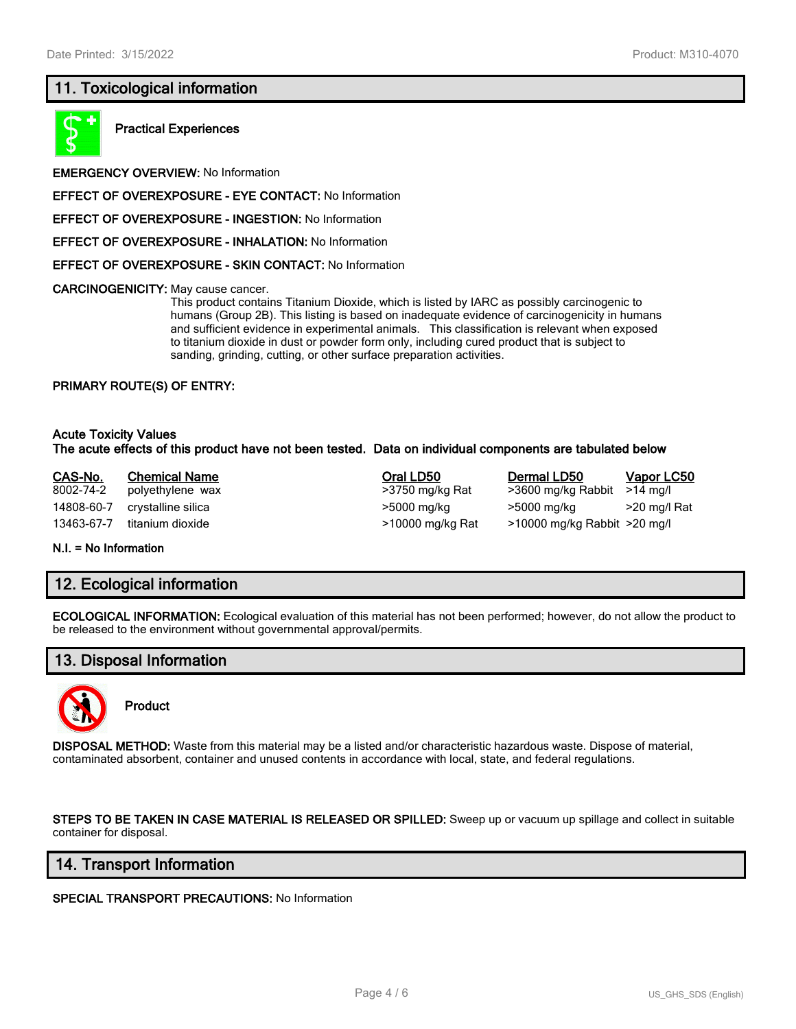### **11. Toxicological information**



**Practical Experiences**

**EMERGENCY OVERVIEW:** No Information

**EFFECT OF OVEREXPOSURE - EYE CONTACT:** No Information

**EFFECT OF OVEREXPOSURE - INGESTION:** No Information

**EFFECT OF OVEREXPOSURE - INHALATION:** No Information

**EFFECT OF OVEREXPOSURE - SKIN CONTACT:** No Information

**CARCINOGENICITY:** May cause cancer.

This product contains Titanium Dioxide, which is listed by IARC as possibly carcinogenic to humans (Group 2B). This listing is based on inadequate evidence of carcinogenicity in humans and sufficient evidence in experimental animals. This classification is relevant when exposed to titanium dioxide in dust or powder form only, including cured product that is subject to sanding, grinding, cutting, or other surface preparation activities.

#### **PRIMARY ROUTE(S) OF ENTRY:**

#### **Acute Toxicity Values The acute effects of this product have not been tested. Data on individual components are tabulated below**

| CAS-No.    | <b>Chemical Name</b> | Oral LD50        | Dermal LD50                  | <u>Vapor LC50</u> |
|------------|----------------------|------------------|------------------------------|-------------------|
| 8002-74-2  | polyethylene wax     | >3750 mg/kg Rat  | >3600 mg/kg Rabbit           | >14 ma/l          |
| 14808-60-7 | crystalline silica   | >5000 mg/kg      | >5000 mg/kg                  | >20 mg/l Rat      |
| 13463-67-7 | titanium dioxide     | >10000 mg/kg Rat | >10000 mg/kg Rabbit >20 mg/l |                   |

**N.I. = No Information**

# **12. Ecological information**

**ECOLOGICAL INFORMATION:** Ecological evaluation of this material has not been performed; however, do not allow the product to be released to the environment without governmental approval/permits.

# **13. Disposal Information**



**Product**

**DISPOSAL METHOD:** Waste from this material may be a listed and/or characteristic hazardous waste. Dispose of material, contaminated absorbent, container and unused contents in accordance with local, state, and federal regulations.

**STEPS TO BE TAKEN IN CASE MATERIAL IS RELEASED OR SPILLED:** Sweep up or vacuum up spillage and collect in suitable container for disposal.

### **14. Transport Information**

**SPECIAL TRANSPORT PRECAUTIONS:** No Information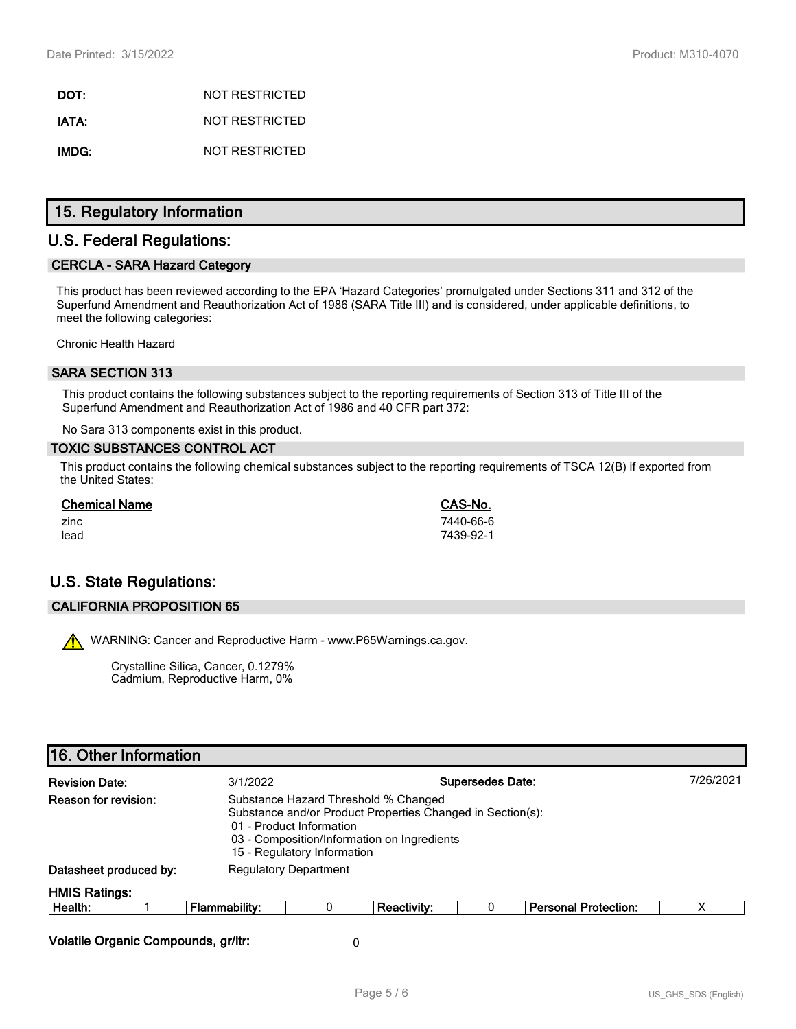**DOT:** NOT RESTRICTED **IATA:** NOT RESTRICTED **IMDG:** NOT RESTRICTED

### **15. Regulatory Information**

### **U.S. Federal Regulations:**

#### **CERCLA - SARA Hazard Category**

This product has been reviewed according to the EPA 'Hazard Categories' promulgated under Sections 311 and 312 of the Superfund Amendment and Reauthorization Act of 1986 (SARA Title III) and is considered, under applicable definitions, to meet the following categories:

Chronic Health Hazard

#### **SARA SECTION 313**

This product contains the following substances subject to the reporting requirements of Section 313 of Title III of the Superfund Amendment and Reauthorization Act of 1986 and 40 CFR part 372:

No Sara 313 components exist in this product.

#### **TOXIC SUBSTANCES CONTROL ACT**

This product contains the following chemical substances subject to the reporting requirements of TSCA 12(B) if exported from the United States:

| <b>Chemical Name</b> | CAS-No.   |
|----------------------|-----------|
| zinc                 | 7440-66-6 |
| lead                 | 7439-92-1 |

# **U.S. State Regulations:**

#### **CALIFORNIA PROPOSITION 65**

WARNING: Cancer and Reproductive Harm - www.P65Warnings.ca.gov.

Crystalline Silica, Cancer, 0.1279% Cadmium, Reproductive Harm, 0%

| <b>Revision Date:</b>                                                                                                                                                                                                                |                        | 3/1/2022                     | <b>Supersedes Date:</b> |             |   |                             | 7/26/2021 |
|--------------------------------------------------------------------------------------------------------------------------------------------------------------------------------------------------------------------------------------|------------------------|------------------------------|-------------------------|-------------|---|-----------------------------|-----------|
| Reason for revision:<br>Substance Hazard Threshold % Changed<br>Substance and/or Product Properties Changed in Section(s):<br>01 - Product Information<br>03 - Composition/Information on Ingredients<br>15 - Regulatory Information |                        |                              |                         |             |   |                             |           |
|                                                                                                                                                                                                                                      | Datasheet produced by: | <b>Regulatory Department</b> |                         |             |   |                             |           |
| <b>HMIS Ratings:</b>                                                                                                                                                                                                                 |                        |                              |                         |             |   |                             |           |
| Health:                                                                                                                                                                                                                              |                        | <b>Flammability:</b>         | 0                       | Reactivity: | U | <b>Personal Protection:</b> | х         |